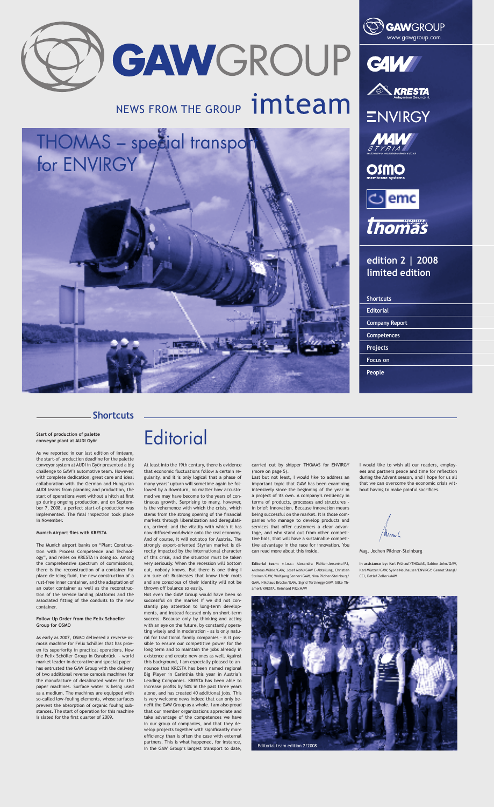

THOMAS – special transport

for ENVIRGY







**ENVIRGY** 

**OSMO**<br>membrane systems



thomas

**edition 2 | 2008 limited edition**

| <b>Shortcuts</b>      |  |
|-----------------------|--|
| <b>Editorial</b>      |  |
| <b>Company Report</b> |  |
| <b>Competences</b>    |  |
| <b>Projects</b>       |  |
| <b>Focus on</b>       |  |
| People                |  |

### **Shortcuts**





**Start of production of palette conveyor plant at AUDI Györ**

As we reported in our last edition of imteam, the start-of-production deadline for the palette

conveyor system at AUDI in Györ presented a big challenge to GAW's automotive team. However, with complete dedication, great care and ideal collaboration with the German and Hungarian AUDI teams from planning and production, the start of operations went without a hitch at first go during ongoing production, and on September 7, 2008, a perfect start-of-production was implemented. The final inspection took place in November.

### **Munich Airport flies with KRESTA**

The Munich airport banks on "Plant Construction with Process Competence and Technology", and relies on KRESTA in doing so. Among the comprehensive spectrum of commissions, there is the reconstruction of a container for place de-icing fluid, the new construction of a rust-free inner container, and the adaptation of an outer container as well as the reconstruction of the service landing platforms and the associated fitting of the conduits to the new container.

#### **Follow-Up Order from the Felix Schoeller Group for OSMO**

As early as 2007, OSMO delivered a reverse-osmosis machine for Felix Schöller that has proven its superiority in practical operations. Now the Felix Schöller Group in Osnabrück - world market leader in decorative and special paper – has entrusted the GAW Group with the delivery of two additional reverse osmosis machines for the manufacture of desalinated water for the paper machines. Surface water is being used as a medium. The machines are equipped with so-called low-fouling elements, whose surfaces prevent the absorption of organic fouling substances. The start of operation for this machine is slated for the first quarter of 2009.

At least into the 19th century, there is evidence that economic fluctuations follow a certain regularity, and it is only logical that a phase of many years' upturn will sometime again be followed by a downturn, no matter how accustomed we may have become to the years of continuous growth. Surprising to many, however, is the vehemence with which the crisis, which stems from the strong opening of the financial markets through liberalization and deregulation, arrived; and the vitality with which it has now diffused worldwide onto the real economy. And of course, it will not stop for Austria. The strongly export-oriented Styrian market is directly impacted by the international character of this crisis, and the situation must be taken very seriously. When the recession will bottom out, nobody knows. But there is one thing I am sure of: Businesses that know their roots and are conscious of their identity will not be thrown off balance so easily.

Not even the GAW Group would have been so successful on the market if we did not constantly pay attention to long-term developments, and instead focused only on short-term success. Because only by thinking and acting with an eye on the future, by constantly operating wisely and in moderation - as is only natural for traditional family companies - is it possible to ensure our competitive power for the long term and to maintain the jobs already in existence and create new ones as well. Against this background, I am especially pleased to announce that KRESTA has been named regional Big Player in Carinthia this year in Austria's Leading Companies. KRESTA has been able to increase profits by 50% in the past three years alone, and has created 40 additional jobs. This is very welcome news indeed that can only benefit the GAW Group as a whole. I am also proud that our member organizations appreciate and take advantage of the competences we have in our group of companies, and that they develop projects together with significantly more efficiency than is often the case with external partners. This is what happened, for instance, in the GAW Group's largest transport to date,

carried out by shipper THOMAS for ENVIRGY (more on page 5).

Last but not least, I would like to address an important topic that GAW has been examining intensively since the beginning of the year in a project of its own. A company's resiliency in terms of products, processes and structures in brief: Innovation. Because innovation means being successful on the market. It is those companies who manage to develop products and services that offer customers a clear advantage, and who stand out from other competitive bids, that will have a sustainable competitive advantage in the race for innovation. You can read more about this inside.

I would like to wish all our readers, employees and partners peace and time for reflection during the Advent season, and I hope for us all that we can overcome the economic crisis without having to make painful sacrifices.

Mag. Jochen Pildner-Steinburg

**Editorial team:** v.l.n.r.: Alexandra Pichler-Jessenko/PJ, Andreas Mühle/GAW, Josef Mohl/GAW E-Abteilung, Christian Steiner/GAW, Wolfgang Senner/GAW, Nina Pildner-Steinburg/ GAW, Nikolaus Brücke/GAW, Sigrid Tertinegg/GAW, Silke Thamerl/KRESTA, Reinhard Pilz/MAW

**In assistance by:** Karl Frühauf/THOMAS, Sabine John/GAW, Karl Münzer/GAW, Sylvia Neuhauser/ENVIRGY, Gernot Stangl/ CCI, Detlef Zeller/MAW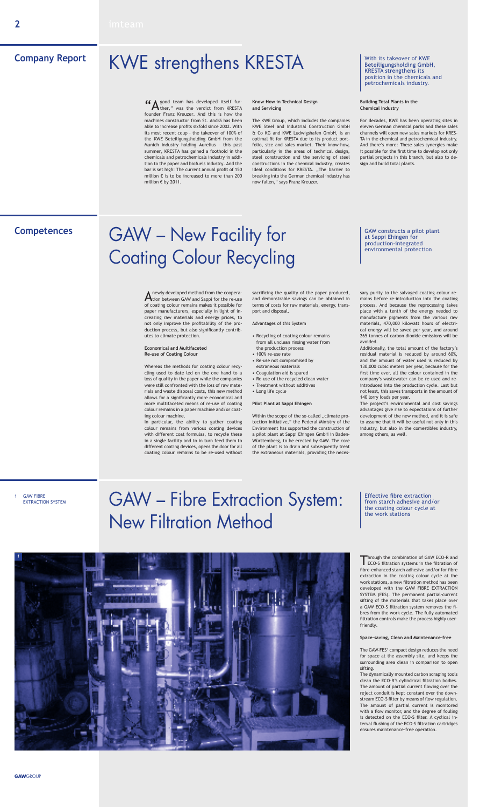

Through the combination of GAW ECO-R and ECO-S filtration systems in the filtration of fibre-enhanced starch adhesive and/or for fibre extraction in the coating colour cycle at the work stations, a new filtration method has been developed with the GAW FIBRE EXTRACTION SYSTEM (FES). The permanent partial-current sifting of the materials that takes place over a GAW ECO-S filtration system removes the fibres from the work cycle. The fully automated filtration controls make the process highly userfriendly.

### **Space-saving, Clean and Maintenance-free**

The GAW-FES' compact design reduces the need for space at the assembly site, and keeps the surrounding area clean in comparison to open sifting.

The dynamically mounted carbon scraping tools clean the ECO-R's cylindrical filtration bodies. The amount of partial current flowing over the reject conduit is kept constant over the downstream ECO-S filter by means of flow regulation. The amount of partial current is monitored with a flow monitor, and the degree of fouling is detected on the ECO-S filter. A cyclical interval flushing of the ECO-S filtration cartridges ensures maintenance-free operation.

Effective fibre extraction from starch adhesive and/or the coating colour cycle at the work stations

### GAW – Fibre Extraction System: New Filtration Method

A newly developed method from the coopera-<br>Ation between GAW and Sappi for the re-use of coating colour remains makes it possible for paper manufacturers, especially in light of increasing raw materials and energy prices, to not only improve the profitability of the production process, but also significantly contributes to climate protection.

"A good team has developed itself fur-ther," was the verdict from KRESTA founder Franz Kreuzer. And this is how the machines constructor from St. Andrä has been able to increase profits sixfold since 2002. With its most recent coup – the takeover of 100% of the KWE Beteiligungsholding GmbH from the Munich industry holding Aurelius – this past summer, KRESTA has gained a foothold in the chemicals and petrochemicals industry in addition to the paper and biofuels industry. And the bar is set high: The current annual profit of 150 million € is to be increased to more than 200 million € by 2011.

#### **Know-How in Technical Design and Servicing**

The KWE Group, which includes the companies KWE Steel and Industrial Construction GmbH & Co KG and KWE Ludwigshafen GmbH, is an optimal fit for KRESTA due to its product portfolio, size and sales market. Their know-how, particularly in the areas of technical design, steel construction and the servicing of steel constructions in the chemical industry, creates ideal conditions for KRESTA. "The barrier to breaking into the German chemical industry has now fallen," says Franz Kreuzer.

Within the scope of the so-called "climate protection initiative," the Federal Ministry of the Environment has supported the construction of a pilot plant at Sappi Ehingen GmbH in Baden-Württemberg, to be erected by GAW. The core of the plant is to drain and subsequently treat the extraneous materials, providing the neces-

#### **Building Total Plants in the Chemical Industry**

For decades, KWE has been operating sites in eleven German chemical parks and these sales channels will open new sales markets for KRES-TA in the chemical and petrochemical industry. And there's more: These sales synergies make it possible for the first time to develop not only partial projects in this branch, but also to design and build total plants.

#### **Economical and Multifaceted Re-use of Coating Colour**

Whereas the methods for coating colour recycling used to date led on the one hand to a loss of quality in the paper while the companies were still confronted with the loss of raw materials and waste disposal costs, this new method allows for a significantly more economical and more multifaceted means of re-use of coating colour remains in a paper machine and/or coating colour machine.

In particular, the ability to gather coating colour remains from various coating devices with different coat formulas, to recycle these in a single facility and to in turn feed them to different coating devices, opens the door for all coating colour remains to be re-used without

sacrificing the quality of the paper produced, and demonstrable savings can be obtained in terms of costs for raw materials, energy, transport and disposal.

Advantages of this System

- Recycling of coating colour remains from all unclean rinsing water from the production process
- 100% re-use rate
- Re-use not compromised by extraneous materials
- Coagulation aid is spared
- Re-use of the recycled clean water
- Treatment without additives
- Long life cycle

### **Pilot Plant at Sappi Ehingen**

sary purity to the salvaged coating colour remains before re-introduction into the coating process. And because the reprocessing takes place with a tenth of the energy needed to manufacture pigments from the various raw materials, 470,000 kilowatt hours of electrical energy will be saved per year, and around 265 tonnes of carbon dioxide emissions will be avoided.

Additionally, the total amount of the factory's residual material is reduced by around 60%, and the amount of water used is reduced by 130,000 cubic meters per year, because for the first time ever, all the colour contained in the company's wastewater can be re-used and reintroduced into the production cycle. Last but not least, this saves transports in the amount of 140 lorry loads per year.

The project's environmental and cost savings advantages give rise to expectations of further development of the new method, and it is safe to assume that it will be useful not only in this industry, but also in the comestibles industry, among others, as well.

With its takeover of KWE Beteiligungsholding GmbH, KRESTA strengthens its position in the chemicals and petrochemicals industry.

GAW constructs a pilot plant at Sappi Ehingen for production-integrated environmental protection

## KWE strengthens KRESTA

## GAW – New Facility for Coating Colour Recycling

### **Company Report**

### **Competences**

1 GAW FIBRE EXTRACTION SYSTEM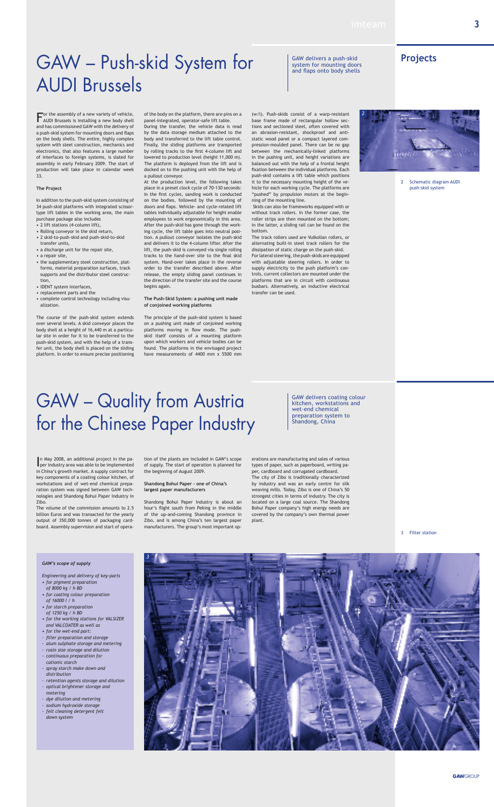**3**



![](_page_2_Picture_55.jpeg)

GAW delivers a push-skid system for mounting doors and flaps onto body shells

For the assembly of a new variety of vehicle, AUDI Brussels is installing a new body shell and has commissioned GAW with the delivery of a push-skid system for mounting doors and flaps on the body shells. The entire, highly complex system with steel construction, mechanics and electronics, that also features a large number of interfaces to foreign systems, is slated for assembly in early February 2009. The start of production will take place in calendar week 33.

#### **The Project**

In addition to the push-skid system consisting of 34 push-skid platforms with integrated scissortype lift tables in the working area, the main purchase package also includes

- 2 lift stations (4-column lift),
- Rolling conveyor in the skid return,
- 2 skid-to-push-skid and push-skid-to-skid transfer units,
- a discharge unit for the repair site,
- a repair site,
- the supplementary steel construction, platforms, material preparation surfaces, track supports and the distributor steel construction,
- IDENT system interfaces,
- replacement parts and the
- complete control technology including visualization.

The course of the push-skid system extends over several levels. A skid conveyor places the body shell at a height of 16,440 m at a particular site in order for it to be transferred to the push-skid system, and with the help of a transfer unit, the body shell is placed on the sliding platform. In order to ensure precise positioning

of the body on the platform, there are pins on a panel-integrated, operator-safe lift table.

During the transfer, the vehicle data is read by the data storage medium attached to the body and transferred to the lift table control. Finally, the sliding platforms are transported by rolling tracks to the first 4-column lift and lowered to production level (height 11,000 m). The platform is deployed from the lift and is docked on to the pushing unit with the help of a pullout conveyor.

At the production level, the following takes place in a preset clock cycle of 70-130 seconds: in the first cycles, sanding work is conducted on the bodies, followed by the mounting of doors and flaps. Vehicle- and cycle-related lift tables individually adjustable for height enable employees to work ergonomically in this area. After the push-skid has gone through the working cycle, the lift table goes into neutral position. A pullout conveyor isolates the push-skid and delivers it to the 4-column lifter. After the lift, the push-skid is conveyed via single rolling tracks to the hand-over site to the final skid system. Hand-over takes place in the reverse order to the transfer described above. After release, the empty sliding panel continues in the direction of the transfer site and the course begins again.

In May 2008, an additional project in the paper industry area was able to be implemented in China's growth market. A supply contract for key components of a coating colour kitchen, of workstations and of wet-end chemical preparation system was signed between GAW technologies and Shandong Bohui Paper Industry in Zibo.

#### **The Push-Skid System: a pushing unit made of conjoined working platforms**

The principle of the push-skid system is based on a pushing unit made of conjoined working platforms moving in flow mode. The pushskid itself consists of a mounting platform upon which workers and vehicle bodies can be found. The platforms in the envisaged project have measurements of 4400 mm x 5500 mm

(w/l). Push-skids consist of a warp-resistant base frame made of rectangular hollow sections and sectioned steel, often covered with an abrasion-resistant, shockproof and antistatic wood panel or a compact layered compression-moulded panel. There can be no gap between the mechanically-linked platforms in the pushing unit, and height variations are balanced out with the help of a frontal height fixation between the individual platforms. Each push-skid contains a lift table which positions it to the necessary mounting height of the vehicle for each working cycle. The platforms are "pushed" by propulsion motors at the beginning of the mounting line.

 Skids can also be frameworks equipped with or without track rollers. In the former case, the roller strips are then mounted on the bottom; in the latter, a sliding rail can be found on the bottom.

The track rollers used are Vulkollan rollers, or alternating built-in steel track rollers for the dissipation of static charge on the push-skid. For lateral steering, the push-skids are equipped with adjustable steering rollers. In order to supply electricity to the push platform's controls, current collectors are mounted under the platforms that are in circuit with continuous busbars. Alternatively, an inductive electrical transfer can be used.

## GAW – Push-skid System for AUDI Brussels

### **Projects**

The volume of the commission amounts to 2.5 billion Euros and was transacted for the yearly output of 350,000 tonnes of packaging cardboard. Assembly supervision and start of operaof supply. The start of operation is planned for the beginning of August 2009.

**Shandong Bohui Paper – one of China's largest paper manufacturers**

Shandong Bohui Paper Industry is about an hour's flight south from Peking in the middle of the up-and-coming Shandong province in Zibo, and is among China's ten largest paper manufacturers. The group's most important op-

types of paper, such as paperboard, writing paper, cardboard and corrugated cardboard. The city of Zibo is traditionally characterized by industry and was an early centre for silk weaving mills. Today, Zibo is one of China's 50 strongest cities in terms of industry. The city is located on a large coal source. The Shandong Bohui Paper company's high energy needs are covered by the company's own thermal power plant.

GAW delivers coating colour kitchen, workstations and

wet-end chemical

GAW – Quality from Austria

for the Chinese Paper Industry

#### *GAW's scope of supply*

- *Engineering and delivery of key-parts*
- *• for pigment preparation of 8000 kg / h BD*
- *• for coating colour preparation of 16000 l / h*
- *• for starch preparation of 1250 kg / h BD*
- *• for the working stations for VALSIZER and VALCOATER as well as*
- *• for the wet-end part:*
- *- filler preparation and storage*
- *- alum sulphate storage and metering*
- *- rosin size storage and dilution*
- *- continuous preparation for cationic starch*
- *- spray starch make down and distribution*
- *- retention agents storage and dilution*
- *- optical brightener storage and metering*
- *- dye dilution and metering*
- *- sodium hydroxide storage*
- *- felt cleaning detergent felt down system*

3 Filter station

2 Schematic diagram AUDI push-skid system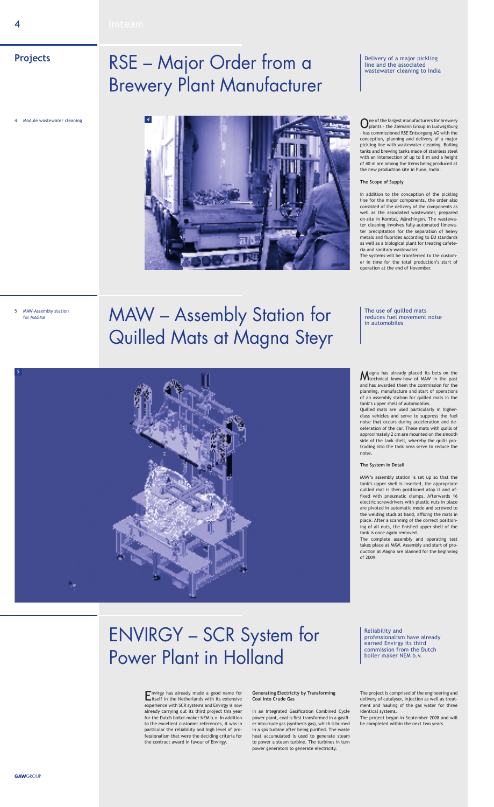![](_page_3_Picture_16.jpeg)

*4*

*5*

Magna has already placed its bets on the **Magna** has already placed its bets on the and has awarded them the commission for the planning, manufacture and start of operations of an assembly station for quilled mats in the tank's upper shell of automobiles.

Quilled mats are used particularly in higherclass vehicles and serve to suppress the fuel noise that occurs during acceleration and deceleration of the car. These mats with quills of approximately 2 cm are mounted on the smooth side of the tank shell, whereby the quills protruding into the tank area serve to reduce the noise.

![](_page_3_Picture_14.jpeg)

#### **The System in Detail**

## $\text{MAW}$  – Assembly Station for Interacted move of quitt Quilled Mats at Magna Steyr

The use of quilled mats<br>reduces fuel movement noise

MAW's assembly station is set up so that the tank's upper shell is inserted, the appropriate quilled mat is then positioned atop it and affixed with pneumatic clamps. Afterwards 16 electric screwdrivers with plastic nuts in place are pivoted in automatic mode and screwed to the welding studs at hand, affixing the mats in place. After a scanning of the correct positioning of all nuts, the finished upper shell of the tank is once again removed.

The complete assembly and operating test takes place at MAW. Assembly and start of production at Magna are planned for the beginning of 2009.

### **Projects**

One of the largest manufacturers for brewery<br>
plants - the Ziemann Group in Ludwigsburg - has commissioned RSE Entsorgung AG with the conception, planning and delivery of a major pickling line with wastewater cleaning. Boiling tanks and brewing tanks made of stainless steel with an intersection of up to 8 m and a height of 40 m are among the items being produced at

Envirgy has already made a good name for itself in the Netherlands with its extensive experience with SCR systems and Envirgy is now already carrying out its third project this year for the Dutch boiler maker NEM b.v. In addition to the excellent customer references, it was in particular the reliability and high level of professionalism that were the deciding criteria for the contract award in favour of Envirgy.

#### **Generating Electricity by Transforming Coal into Crude Gas**

In an Integrated Gasification Combined Cycle power plant, coal is first transformed in a gasifier into crude gas (synthesis gas), which is burned in a gas turbine after being purified. The waste heat accumulated is used to generate steam to power a steam turbine. The turbines in turn power generators to generate electricity.

The project is comprised of the engineering and delivery of catalyser, injection as well as treatment and hauling of the gas water for three identical systems.

The project began in September 2008 and will be completed within the next two years.

Reliability and professionalism have already earned Envirgy its third commission from the Dutch boiler maker NEM b.v.

## ENVIRGY – SCR System for Power Plant in Holland

Delivery of a major pickling line and the associated wastewater cleaning to India

the new production site in Pune, India.

### **The Scope of Supply**

In addition to the conception of the pickling line for the major components, the order also consisted of the delivery of the components as well as the associated wastewater, prepared on-site in Korntal, Münchingen. The wastewater cleaning involves fully-automated limewater precipitation for the separation of heavy metals and fluorides according to EU standards as well as a biological plant for treating cafeteria and sanitary wastewater.

The systems will be transferred to the customer in time for the total production's start of operation at the end of November.

# RSE – Major Order from a Brewery Plant Manufacturer

5 MAW-Assembly station for MAGNA

4 Module wastewater cleaning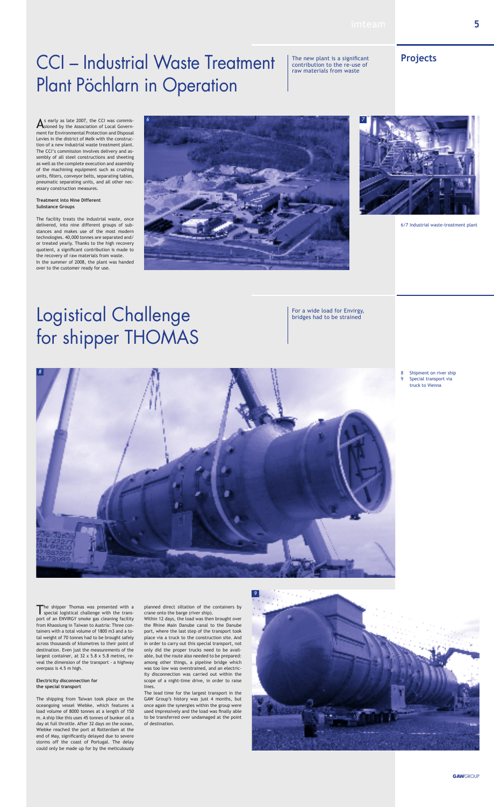![](_page_4_Picture_15.jpeg)

As early as late 2007, the CCI was commis-sioned by the Association of Local Government for Environmental Protection and Disposal Levies in the district of Melk with the construction of a new industrial waste treatment plant. The CCI's commission involves delivery and assembly of all steel constructions and sheeting as well as the complete execution and assembly of the machining equipment such as crushing units, filters, conveyor belts, separating tables, pneumatic separating units, and all other necessary construction measures.

### **Treatment into Nine Different Substance Groups**

The facility treats the industrial waste, once delivered, into nine different groups of substances and makes use of the most modern technologies. 40,000 tonnes are separated and/ or treated yearly. Thanks to the high recovery quotient, a significant contribution is made to the recovery of raw materials from waste. In the summer of 2008, the plant was handed over to the customer ready for use.

The shipper Thomas was presented with a special logistical challenge with the transport of an ENVIRGY smoke gas cleaning facility from Khaosiung in Taiwan to Austria: Three containers with a total volume of 1800 m3 and a total weight of 70 tonnes had to be brought safely across thousands of kilometres to their point of destination. Even just the measurements of the largest container, at 32 x 5.8 x 5.8 metres, reveal the dimension of the transport - a highway overpass is 4.5 m high.

## CCI – Industrial Waste Treatment Plant Pöchlarn in Operation

The new plant is a significant contribution to the re-use of raw materials from waste

For a wide load for Envirgy, bridges had to be strained

#### **Electricity disconnection for the special transport**

The shipping from Taiwan took place on the oceangoing vessel Wiebke, which features a load volume of 8000 tonnes at a length of 150 m. A ship like this uses 45 tonnes of bunker oil a day at full throttle. After 32 days on the ocean, Wiebke reached the port at Rotterdam at the end of May, significantly delayed due to severe storms off the coast of Portugal. The delay could only be made up for by the meticulously planned direct siltation of the containers by crane onto the barge (river ship).

Within 12 days, the load was then brought over the Rhine Main Danube canal to the Danube port, where the last step of the transport took place via a truck to the construction site. And in order to carry out this special transport, not only did the proper trucks need to be available, but the route also needed to be prepared: among other things, a pipeline bridge which was too low was overstrained, and an electricity disconnection was carried out within the scope of a night-time drive, in order to raise lines.

The lead time for the largest transport in the GAW Group's history was just 4 months, but once again the synergies within the group were used impressively and the load was finally able to be transferred over undamaged at the point of destination.

# Logistical Challenge for shipper THOMAS

### **Projects**

6/7 Industrial waste-treatment plant

8 Shipment on river ship 9 Special transport via truck to Vienna

![](_page_4_Picture_7.jpeg)

![](_page_4_Picture_13.jpeg)

![](_page_4_Picture_22.jpeg)

![](_page_4_Picture_8.jpeg)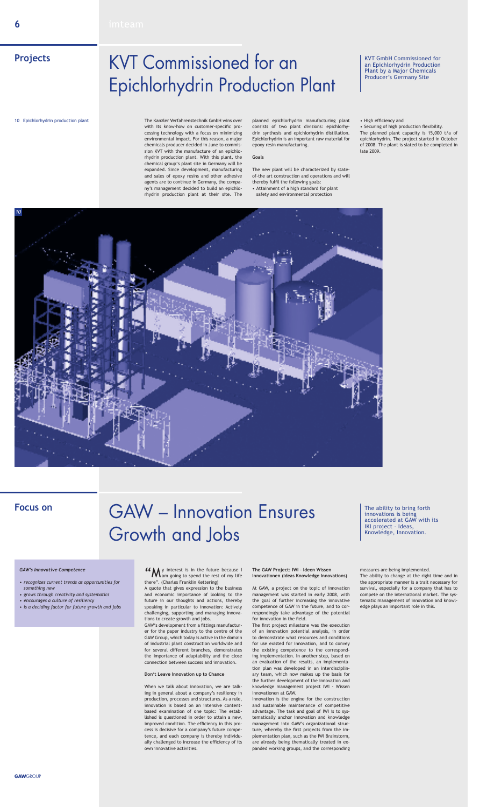The ability to bring forth innovations is being accelerated at GAW with its IKI project – Ideas, Knowledge, Innovation.

"My interest is in the future because I am going to spend the rest of my life there". (Charles Franklin Kettering)

A quote that gives expression to the business and economic importance of looking to the future in our thoughts and actions, thereby speaking in particular to innovation: Actively challenging, supporting and managing innovations to create growth and jobs.

GAW's development from a fittings manufacturer for the paper industry to the centre of the GAW Group, which today is active in the domain of industrial plant construction worldwide and for several different branches, demonstrates the importance of adaptability and the close connection between success and innovation.

#### **Don't Leave Innovation up to Chance**

When we talk about innovation, we are talking in general about a company's resiliency in production, processes and structures. As a rule, innovation is based on an intensive contentbased examination of one topic: The established is questioned in order to attain a new, improved condition. The efficiency in this process is decisive for a company's future competence, and each company is thereby individually challenged to increase the efficiency of its own innovative activities.

**The GAW Project: IWI – Ideen Wissen Innovationen (Ideas Knowledge Innovations)**

At GAW, a project on the topic of innovation management was started in early 2008, with the goal of further increasing the innovative competence of GAW in the future, and to correspondingly take advantage of the potential for innovation in the field.

The first project milestone was the execution of an innovation potential analysis, in order to demonstrate what resources and conditions for use existed for innovation, and to convey the existing competence to the corresponding implementation. In another step, based on an evaluation of the results, an implementation plan was developed in an interdisciplinary team, which now makes up the basis for the further development of the innovation and knowledge management project IWI - Wissen Innovationen at GAW.

Innovation is the engine for the construction and sustainable maintenance of competitive advantage. The task and goal of IWI is to systematically anchor innovation and knowledge management into GAW's organizational structure, whereby the first projects from the implementation plan, such as the IWI Brainstorm, are already being thematically treated in expanded working groups, and the corresponding

measures are being implemented.

The ability to change at the right time and in the appropriate manner is a trait necessary for survival, especially for a company that has to compete on the international market. The systematic management of innovation and knowledge plays an important role in this.

# GAW – Innovation Ensures Growth and Jobs

KVT GmbH Commissioned for an Epichlorhydrin Production Plant by a Major Chemicals Producer's Germany Site

## KVT Commissioned for an Epichlorhydrin Production Plant

The Kanzler Verfahrenstechnik GmbH wins over with its know-how on customer-specific processing technology with a focus on minimizing environmental impact. For this reason, a major chemicals producer decided in June to commission KVT with the manufacture of an epichlorhydrin production plant. With this plant, the chemical group's plant site in Germany will be expanded. Since development, manufacturing and sales of epoxy resins and other adhesive agents are to continue in Germany, the company's management decided to build an epichlorhydrin production plant at their site. The

planned epichlorhydrin manufacturing plant consists of two plant divisions: epichlorhydrin synthesis and epichlorhydrin distillation. Epichlorhydrin is an important raw material for epoxy resin manufacturing.

#### **Goals**

The new plant will be characterized by stateof-the art construction and operations and will thereby fulfil the following goals:

• Attainment of a high standard for plant safety and environmental protection

#### • High efficiency and

• Securing of high production flexibility. The planned plant capacity is 15,000 t/a of epichlorhydrin. The project started in October of 2008. The plant is slated to be completed in late 2009.

#### *GAW's Innovative Competence*

- *• recognizes current trends as opportunities for something new*
- *• grows through creativity and systematics*
- *• encourages a culture of resiliency*
- *• is a deciding factor for future growth and jobs*

### **Projects**

### **Focus on**

![](_page_5_Picture_12.jpeg)

10 Epichlorhydrin production plant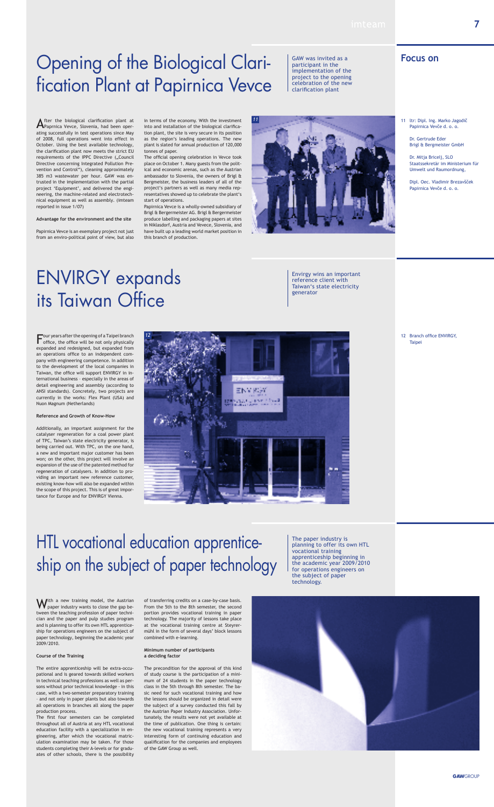## HTL vocational education apprenticeship on the subject of paper technology

The paper industry is planning to offer its own HTL vocational training apprenticeship beginning in the academic year 2009/2010 for operations engineers on the subject of paper technology.

![](_page_6_Picture_31.jpeg)

With a new training model, the Austrian  $\mathbf V$  paper industry wants to close the gap between the teaching profession of paper technician and the paper and pulp studies program and is planning to offer its own HTL apprenticeship for operations engineers on the subject of paper technology, beginning the academic year 2009/2010.

#### **Course of the Training**

The entire apprenticeship will be extra-occupational and is geared towards skilled workers in technical teaching professions as well as persons without prior technical knowledge - in this case, with a two-semester preparatory training – and not only in paper plants but also towards all operations in branches all along the paper production process.

The first four semesters can be completed throughout all of Austria at any HTL vocational education facility with a specialization in engineering, after which the vocational matriculation examination may be taken. For those students completing their A-levels or for graduates of other schools, there is the possibility

of transferring credits on a case-by-case basis. From the 5th to the 8th semester, the second portion provides vocational training in paper technology. The majority of lessons take place at the vocational training centre at Steyrermühl in the form of several days' block lessons combined with e-learning.

#### **Minimum number of participants a deciding factor**

The precondition for the approval of this kind of study course is the participation of a minimum of 24 students in the paper technology class in the 5th through 8th semester. The basic need for such vocational training and how the lessons should be organized in detail were the subject of a survey conducted this fall by the Austrian Paper Industry Association. Unfortunately, the results were not yet available at the time of publication. One thing is certain: the new vocational training represents a very interesting form of continuing education and qualification for the companies and employees of the GAW Group as well.

## Opening of the Biological Clarification Plant at Papirnica Vevce

GAW was invited as a participant in the implementation of the project to the opening celebration of the new clarification plant

After the biological clarification plant at Paprnica Vevce, Slovenia, had been operating successfully in test operations since May of 2008, full operations went into effect in October. Using the best available technology, the clarification plant now meets the strict EU requirements of the IPPC Directive ("Council Directive concerning Integrated Pollution Prevention and Control"), cleaning approximately 385 m3 wastewater per hour. GAW was entrusted in the implementation with the partial project 'Equipment', and delivered the engineering, the machine-related and electrotechnical equipment as well as assembly. (imteam reported in issue 1/07)

**Advantage for the environment and the site**

Papirnica Vevce is an exemplary project not just from an enviro-political point of view, but also in terms of the economy. With the investment into and installation of the biological clarification plant, the site is very secure in its position as the region's leading operations. The new plant is slated for annual production of 120,000 tonnes of paper.

The official opening celebration in Vevce took place on October 1. Many guests from the political and economic arenas, such as the Austrian ambassador to Slovenia, the owners of Brigl & Bergmeister, the business leaders of all of the project's partners as well as many media representatives showed up to celebrate the plant's start of operations.

Papirnica Vevce is a wholly-owned subsidiary of Brigl & Bergermeister AG. Brigl & Bergermeister produce labelling and packaging papers at sites in Niklasdorf, Austria and Vevece, Slovenia, and have built up a leading world market position in this branch of production.

# ENVIRGY expands its Taiwan Office

Envirgy wins an important reference client with Taiwan's state electricity

generator

Four years after the opening of a Taipei branch office, the office will be not only physically expanded and redesigned, but expanded from an operations office to an independent company with engineering competence. In addition to the development of the local companies in Taiwan, the office will support ENVIRGY in international business – especially in the areas of detail engineering and assembly (according to ANSI standards). Concretely, two projects are currently in the works: Flex Plant (USA) and Nuon Magnum (Netherlands)

#### **Reference and Growth of Know-How**

Additionally, an important assignment for the catalyser regeneration for a coal power plant of TPC, Taiwan's state electricity generator, is being carried out. With TPC, on the one hand, a new and important major customer has been won; on the other, this project will involve an expansion of the use of the patented method for regeneration of catalysers. In addition to providing an important new reference customer, existing know-how will also be expanded within the scope of this project. This is of great importance for Europe and for ENVIRGY Vienna.

11 ltr: Dipl. Ing. Marko Jagodič Papirnica Vevče d. o. o.

> Dr. Gertrude Eder Brigl & Bergmeister GmbH

Dr. Mitja Bricelj, SLO Staatssekretär im Ministerium für Umwelt und Raumordnung,

Dipl. Oec. Vladimir Brezavšček Papirnica Vevče d. o. o.

12 Branch office ENVIRGY, Taipei

### **Focus on**

![](_page_6_Picture_14.jpeg)

![](_page_6_Picture_19.jpeg)